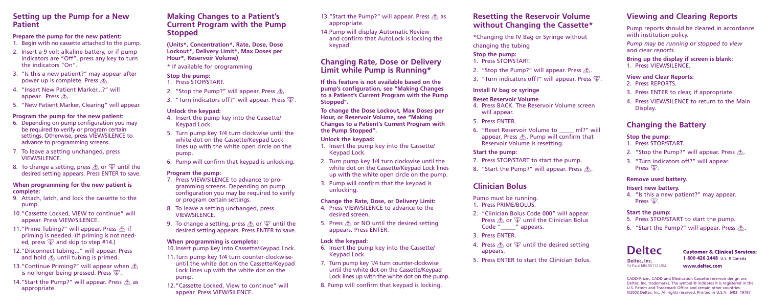# **Setting up the Pump for a New Patient**

#### **Prepare the pump for the new patient:**

- 1. Begin with no cassette attached to the pump.
- 2. Insert a 9 volt alkaline battery, or if pump indicators are "Off", press any key to turn the indicators "On".
- 3. "Is this a new patient?" may appear after power up is complete. Press  $\hat{A}$ .
- 4. "Insert New Patient Marker...?" will appear. Press  $\mathcal{A}$ .
- 5. "New Patient Marker, Clearing" will appear.

#### **Program the pump for the new patient:**

- 6. Depending on pump configuration you may be required to verify or program certain settings. Otherwise, press VIEW/SILENCE to advance to programming screens.
- 7. To leave a setting unchanged, press VIEW/SILENCE.
- 8. To change a setting, press  $\triangle$  or  $\sqrt[n]{\ }$  until the desired setting appears. Press ENTER to save.

#### **When programming for the new patient is complete:**

- 9. Attach, latch, and lock the cassette to the pump.
- 10."Cassette Locked, VIEW to continue" will appear. Press VIEW/SILENCE.
- 11. "Prime Tubing?" will appear. Press  $\triangle$  if priming is needed. (If priming is not needed, press  $\sqrt{x}$  and skip to step #14.)
- 12."Disconnect tubing..." will appear. Press and hold  $\triangle$  until tubing is primed.
- 13. "Continue Priming?" will appear when  $\triangle$ is no longer being pressed. Press  $\sqrt{\psi}$ .
- 14. "Start the Pump?" will appear. Press  $\triangle$  as appropriate.
- 13. "Start the Pump?" will appear. Press  $\triangle$  as appropriate.
- 14.Pump will display Automatic Review and confirm that AutoLock is locking the keypad.

# **Making Changes to a Patient's Current Program with the Pump Stopped**

**(Units\*, Concentration\*, Rate, Dose, Dose Lockout\*, Delivery Limit\*, Max Doses per Hour\*, Reservoir Volume)**

\* If available for programming

### **Stop the pump:**

#### 1. Press STOP/START.

- 2. "Stop the Pump?" will appear. Press  $\triangle$ .
- 3. "Turn indicators off?" will appear. Press  $\mathbb{F}$ .

## **Unlock the keypad:**

- 4. Insert the pump key into the Cassette/ Keypad Lock.
- 5. Turn pump key 1/4 turn clockwise until the white dot on the Cassette/Keypad Lock lines up with the white open circle on the pump.
- 6. Pump will confirm that keypad is unlocking.

### **Program the pump:**

- 1. Press STOP/START.
- 2. "Stop the Pump?" will appear. Press  $\triangle$ .
- 3. "Turn indicators off?" will appear. Press  $\mathbb{F}$ .

- 7. Press VIEW/SILENCE to advance to programming screens. Depending on pump configuration you may be required to verify or program certain settings.
- 8. To leave a setting unchanged, press VIEW/SILENCE.
- 9. To change a setting, press  $\triangle$  or  $\sqrt{\ }$  until the desired setting appears. Press ENTER to save.
- 7. Press STOP/START to start the pump.
- 8. "Start the Pump?" will appear. Press  $\triangle$ .

# **When programming is complete:**

10.Insert pump key into Cassette/Keypad Lock.

- 11.Turn pump key 1/4 turn counter-clockwiseuntil the white dot on the Cassette/Keypad Lock lines up with the white dot on the pump.
- 12."Cassette Locked, View to continue" will appear. Press VIEW/SILENCE.
- 1. Press STOP/START.
- 2. "Stop the Pump?" will appear. Press  $\triangle$ .
- 3. "Turn indicators off?" will appear. Press  $\mathbb{V}$ .

4. "Is this a new patient?" may appear. Press  $\sqrt{\frac{10}{4}}$ 

- 5. Press STOP/START to start the pump.
- 6. "Start the Pump?" will appear. Press  $\triangle$ .

# **Changing Rate, Dose or Delivery Limit while Pump is Running\***

**If this feature is not available based on the pump's configuration, see "Making Changes to a Patient's Current Program with the Pump Stopped".** 

**To change the Dose Lockout, Max Doses per Hour, or Reservoir Volume, see "Making Changes to a Patient's Current Program with the Pump Stopped".**

## **Unlock the keypad:**

- 1. Insert the pump key into the Cassette/ Keypad Lock.
- 2. Turn pump key 1/4 turn clockwise until the white dot on the Cassette/Keypad Lock lines up with the white open circle on the pump.
- 3. Pump will confirm that the keypad is unlocking.

# **Change the Rate, Dose, or Delivery Limit:**

- 4. Press VIEW/SILENCE to advance to the desired screen.
- 5. Press  $\hat{A}$  or NO until the desired setting appears. Press ENTER.

#### **Lock the keypad:**

- 6. Insert the pump key into the Cassette/ Keypad Lock.
- 7. Turn pump key 1/4 turn counter-clockwise until the white dot on the Cassette/Keypad Lock lines up with the white dot on the pump.
- 8. Pump will confirm that keypad is locking.

# **Resetting the Reservoir Volume without Changing the Cassette\***

\*Changing the IV Bag or Syringe without changing the tubing

### **Stop the pump:**

# **Install IV bag or syringe**

#### **Reset Reservoir Volume**

- 4. Press BACK. The Reservoir Volume screen will appear.
- 5. Press ENTER.
- 6. "Reset Reservoir Volume to \_\_\_\_\_ ml?" will appear. Press  $\triangle$ . Pump will confirm that Reservoir Volume is resetting.

### **Start the pump:**

# **Clinician Bolus**

Pump must be running.

- 1. Press PRIME/BOLUS.
- 2. "Clinician Bolus Code 000" will appear. Press  $\triangle$  or  $\sqrt{\sqrt[n]{\ }}$  until the Clinician Bolus Code "\_\_\_\_\_\_" appears.
- 3. Press ENTER.
- 4. Press  $\hat{A}$  or  $\hat{V}$  until the desired setting appears.
- 5. Press ENTER to start the Clinician Bolus.

# **Viewing and Clearing Reports**

Pump reports should be cleared in accordance with institution policy.

*Pump may be running or stopped to view and clear reports.*

**Bring up the display if screen is blank:** 1. Press VIEW/SILENCE.

#### **View and Clear Reports:**

- 2. Press REPORTS.
- 3. Press ENTER to clear, if appropriate.
- 4. Press VIEW/SILENCE to return to the Main Display.

# **Changing the Battery**

#### **Stop the pump:**

#### **Remove used battery.**

#### **Insert new battery.**

#### **Start the pump:**

CADD-Prizm, CADD and Medication Cassette reservoir design are Deltec, Inc. trademarks. The symbol ® indicates it is registered in the U.S. Patent and Trademark Office and certain other countries. ©2003 Deltec, Inc. All rights reserved. Printed in U.S.A. 6/03 19787

# **Deltec**

**Deltec, Inc.** St Paul MN 55112 USA **Customer & Clinical Services:** 1-800-426-2448 U.S. & Canada

#### www.deltec.com